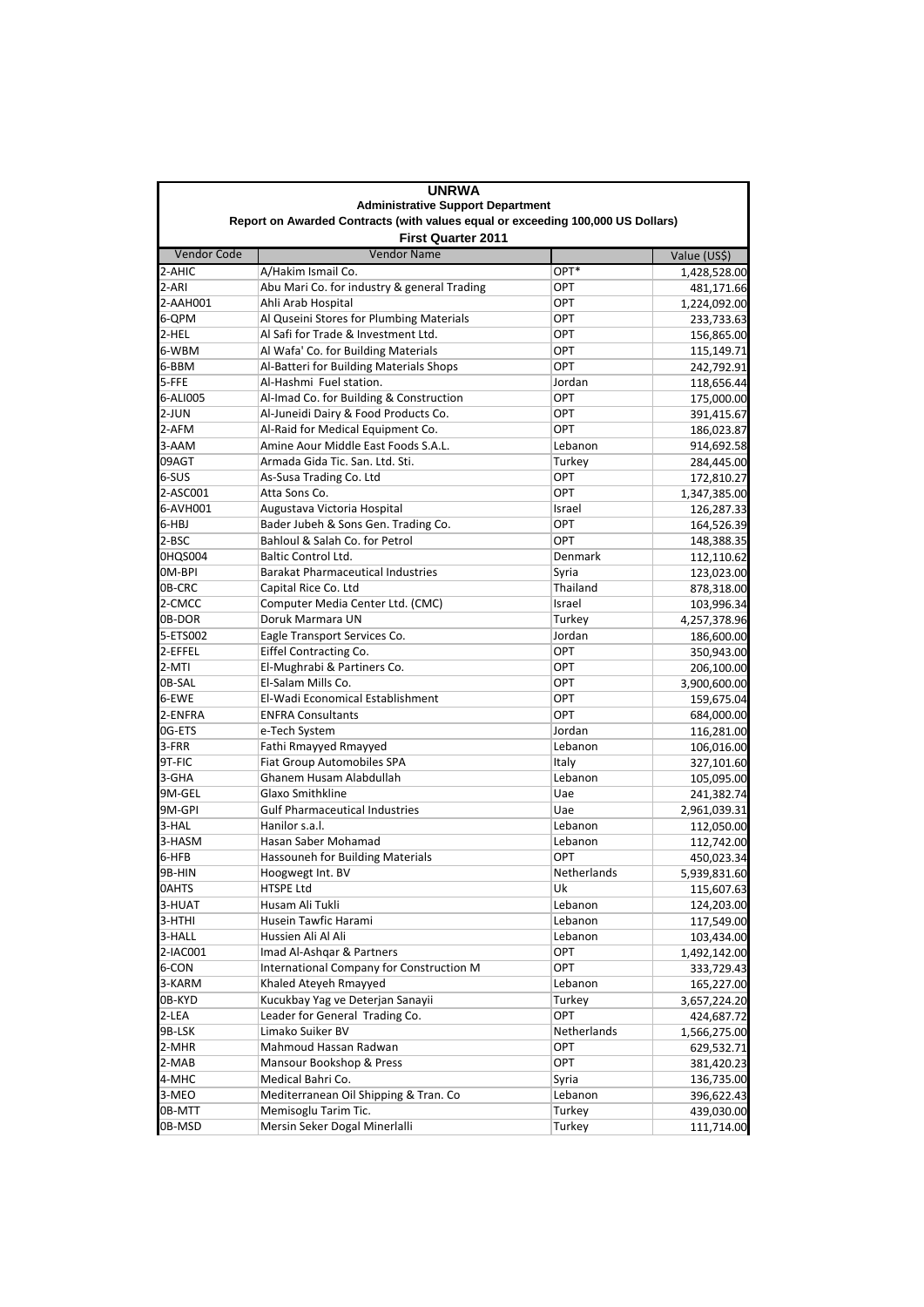| <b>UNRWA</b>                                                                    |                                                 |             |                            |  |  |
|---------------------------------------------------------------------------------|-------------------------------------------------|-------------|----------------------------|--|--|
| <b>Administrative Support Department</b>                                        |                                                 |             |                            |  |  |
| Report on Awarded Contracts (with values equal or exceeding 100,000 US Dollars) |                                                 |             |                            |  |  |
| Vendor Code                                                                     | <b>First Quarter 2011</b><br><b>Vendor Name</b> |             |                            |  |  |
| 2-AHIC                                                                          | A/Hakim Ismail Co.                              | OPT*        | Value (US\$)               |  |  |
| 2-ARI                                                                           | Abu Mari Co. for industry & general Trading     | OPT         | 1,428,528.00<br>481,171.66 |  |  |
| 2-AAH001                                                                        | Ahli Arab Hospital                              | OPT         | 1,224,092.00               |  |  |
| 6-QPM                                                                           | Al Quseini Stores for Plumbing Materials        | OPT         | 233,733.63                 |  |  |
| 2-HEL                                                                           | Al Safi for Trade & Investment Ltd.             | OPT         | 156,865.00                 |  |  |
| 6-WBM                                                                           | Al Wafa' Co. for Building Materials             | OPT         |                            |  |  |
| 6-BBM                                                                           | Al-Batteri for Building Materials Shops         | OPT         | 115,149.71                 |  |  |
| 5-FFE                                                                           | Al-Hashmi Fuel station.                         | Jordan      | 242,792.91                 |  |  |
| 6-ALI005                                                                        | Al-Imad Co. for Building & Construction         | OPT         | 118,656.44                 |  |  |
| 2-JUN                                                                           | Al-Juneidi Dairy & Food Products Co.            | OPT         | 175,000.00                 |  |  |
| 2-AFM                                                                           | Al-Raid for Medical Equipment Co.               | OPT         | 391,415.67                 |  |  |
| 3-AAM                                                                           | Amine Aour Middle East Foods S.A.L.             | Lebanon     | 186,023.87                 |  |  |
| 09AGT                                                                           | Armada Gida Tic. San. Ltd. Sti.                 | Turkey      | 914,692.58                 |  |  |
| 6-SUS                                                                           |                                                 | OPT         | 284,445.00                 |  |  |
| 2-ASC001                                                                        | As-Susa Trading Co. Ltd<br>Atta Sons Co.        | OPT         | 172,810.27                 |  |  |
|                                                                                 |                                                 |             | 1,347,385.00               |  |  |
| 6-AVH001                                                                        | Augustava Victoria Hospital                     | Israel      | 126,287.33                 |  |  |
| 6-HBJ                                                                           | Bader Jubeh & Sons Gen. Trading Co.             | OPT         | 164,526.39                 |  |  |
| 2-BSC                                                                           | Bahloul & Salah Co. for Petrol                  | OPT         | 148,388.35                 |  |  |
| 0HQS004                                                                         | <b>Baltic Control Ltd.</b>                      | Denmark     | 112,110.62                 |  |  |
| OM-BPI                                                                          | <b>Barakat Pharmaceutical Industries</b>        | Syria       | 123,023.00                 |  |  |
| 0B-CRC                                                                          | Capital Rice Co. Ltd                            | Thailand    | 878,318.00                 |  |  |
| 2-CMCC                                                                          | Computer Media Center Ltd. (CMC)                | Israel      | 103,996.34                 |  |  |
| 0B-DOR                                                                          | Doruk Marmara UN                                | Turkey      | 4,257,378.96               |  |  |
| 5-ETS002                                                                        | Eagle Transport Services Co.                    | Jordan      | 186,600.00                 |  |  |
| 2-EFFEL                                                                         | Eiffel Contracting Co.                          | OPT         | 350,943.00                 |  |  |
| 2-MTI                                                                           | El-Mughrabi & Partiners Co.                     | OPT         | 206,100.00                 |  |  |
| 0B-SAL                                                                          | El-Salam Mills Co.                              | OPT         | 3,900,600.00               |  |  |
| 6-EWE                                                                           | El-Wadi Economical Establishment                | OPT         | 159,675.04                 |  |  |
| 2-ENFRA                                                                         | <b>ENFRA Consultants</b>                        | OPT         | 684,000.00                 |  |  |
| 0G-ETS                                                                          | e-Tech System                                   | Jordan      | 116,281.00                 |  |  |
| 3-FRR                                                                           | Fathi Rmayyed Rmayyed                           | Lebanon     | 106,016.00                 |  |  |
| 9T-FIC                                                                          | Fiat Group Automobiles SPA                      | Italy       | 327,101.60                 |  |  |
| 3-GHA                                                                           | Ghanem Husam Alabdullah                         | Lebanon     | 105,095.00                 |  |  |
| 9M-GEL                                                                          | Glaxo Smithkline                                | Uae         | 241,382.74                 |  |  |
| 9M-GPI                                                                          | <b>Gulf Pharmaceutical Industries</b>           | Uae         | 2,961,039.31               |  |  |
| 3-HAL                                                                           | Hanilor s.a.l.                                  | Lebanon     | 112,050.00                 |  |  |
| 3-HASM                                                                          | Hasan Saber Mohamad                             | Lebanon     | 112,742.00                 |  |  |
| 6-HFB                                                                           | Hassouneh for Building Materials                | OPT         | 450,023.34                 |  |  |
| 9B-HIN                                                                          | Hoogwegt Int. BV                                | Netherlands | 5,939,831.60               |  |  |
| 0AHTS                                                                           | <b>HTSPE Ltd</b>                                | Uk          | 115,607.63                 |  |  |
| 3-HUAT                                                                          | Husam Ali Tukli                                 | Lebanon     | 124,203.00                 |  |  |
| 3-HTHI                                                                          | Husein Tawfic Harami                            | Lebanon     | 117,549.00                 |  |  |
| 3-HALL                                                                          | Hussien Ali Al Ali                              | Lebanon     | 103,434.00                 |  |  |
| 2-IAC001                                                                        | Imad Al-Ashqar & Partners                       | OPT         | 1,492,142.00               |  |  |
| 6-CON                                                                           | <b>International Company for Construction M</b> | OPT         | 333,729.43                 |  |  |
| 3-KARM                                                                          | Khaled Ateyeh Rmayyed                           | Lebanon     | 165,227.00                 |  |  |
| 0B-KYD                                                                          | Kucukbay Yag ve Deterjan Sanayii                | Turkey      | 3,657,224.20               |  |  |
| 2-LEA                                                                           | Leader for General Trading Co.                  | OPT         | 424,687.72                 |  |  |
| 9B-LSK                                                                          | Limako Suiker BV                                | Netherlands | 1,566,275.00               |  |  |
| 2-MHR                                                                           | Mahmoud Hassan Radwan                           | OPT         | 629,532.71                 |  |  |
| 2-MAB                                                                           | Mansour Bookshop & Press                        | OPT         | 381,420.23                 |  |  |
| 4-MHC                                                                           | Medical Bahri Co.                               | Syria       | 136,735.00                 |  |  |
| 3-MEO                                                                           | Mediterranean Oil Shipping & Tran. Co           | Lebanon     | 396,622.43                 |  |  |
| 0B-MTT                                                                          | Memisoglu Tarim Tic.                            | Turkey      | 439,030.00                 |  |  |
| 0B-MSD                                                                          | Mersin Seker Dogal Minerlalli                   | Turkey      | 111,714.00                 |  |  |
|                                                                                 |                                                 |             |                            |  |  |